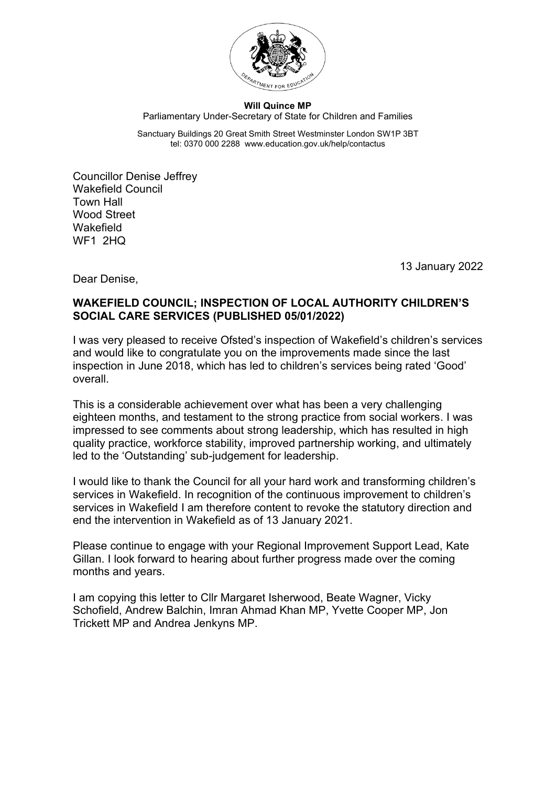

## **Will Quince MP** Parliamentary Under-Secretary of State for Children and Families

Sanctuary Buildings 20 Great Smith Street Westminster London SW1P 3BT tel: 0370 000 2288 www.education.gov.uk/help/contactus

Councillor Denise Jeffrey Wakefield Council Town Hall Wood Street Wakefield WF1 2HQ

13 January 2022

Dear Denise,

## **WAKEFIELD COUNCIL; INSPECTION OF LOCAL AUTHORITY CHILDREN'S SOCIAL CARE SERVICES (PUBLISHED 05/01/2022)**

I was very pleased to receive Ofsted's inspection of Wakefield's children's services and would like to congratulate you on the improvements made since the last inspection in June 2018, which has led to children's services being rated 'Good' overall.

This is a considerable achievement over what has been a very challenging eighteen months, and testament to the strong practice from social workers. I was impressed to see comments about strong leadership, which has resulted in high quality practice, workforce stability, improved partnership working, and ultimately led to the 'Outstanding' sub-judgement for leadership.

I would like to thank the Council for all your hard work and transforming children's services in Wakefield. In recognition of the continuous improvement to children's services in Wakefield I am therefore content to revoke the statutory direction and end the intervention in Wakefield as of 13 January 2021.

Please continue to engage with your Regional Improvement Support Lead, Kate Gillan. I look forward to hearing about further progress made over the coming months and years.

I am copying this letter to Cllr Margaret Isherwood, Beate Wagner, Vicky Schofield, Andrew Balchin, Imran Ahmad Khan MP, Yvette Cooper MP, Jon Trickett MP and Andrea Jenkyns MP.